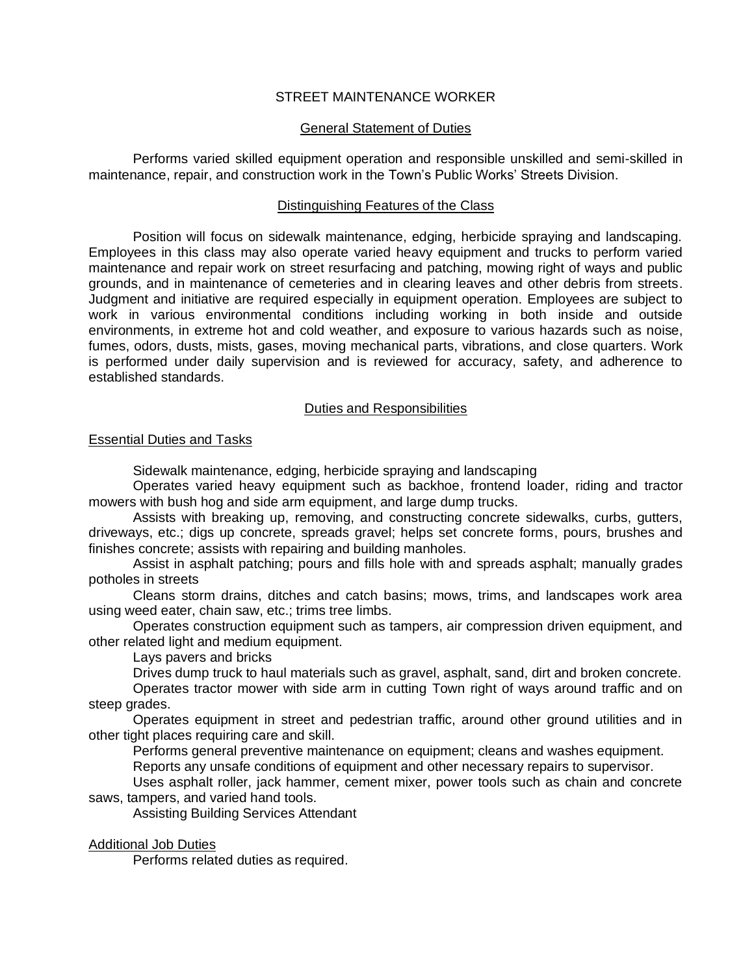# STREET MAINTENANCE WORKER

# General Statement of Duties

Performs varied skilled equipment operation and responsible unskilled and semi-skilled in maintenance, repair, and construction work in the Town's Public Works' Streets Division.

#### Distinguishing Features of the Class

Position will focus on sidewalk maintenance, edging, herbicide spraying and landscaping. Employees in this class may also operate varied heavy equipment and trucks to perform varied maintenance and repair work on street resurfacing and patching, mowing right of ways and public grounds, and in maintenance of cemeteries and in clearing leaves and other debris from streets. Judgment and initiative are required especially in equipment operation. Employees are subject to work in various environmental conditions including working in both inside and outside environments, in extreme hot and cold weather, and exposure to various hazards such as noise, fumes, odors, dusts, mists, gases, moving mechanical parts, vibrations, and close quarters. Work is performed under daily supervision and is reviewed for accuracy, safety, and adherence to established standards.

# Duties and Responsibilities

# Essential Duties and Tasks

Sidewalk maintenance, edging, herbicide spraying and landscaping

Operates varied heavy equipment such as backhoe, frontend loader, riding and tractor mowers with bush hog and side arm equipment, and large dump trucks.

Assists with breaking up, removing, and constructing concrete sidewalks, curbs, gutters, driveways, etc.; digs up concrete, spreads gravel; helps set concrete forms, pours, brushes and finishes concrete; assists with repairing and building manholes.

Assist in asphalt patching; pours and fills hole with and spreads asphalt; manually grades potholes in streets

Cleans storm drains, ditches and catch basins; mows, trims, and landscapes work area using weed eater, chain saw, etc.; trims tree limbs.

Operates construction equipment such as tampers, air compression driven equipment, and other related light and medium equipment.

Lays pavers and bricks

Drives dump truck to haul materials such as gravel, asphalt, sand, dirt and broken concrete.

Operates tractor mower with side arm in cutting Town right of ways around traffic and on steep grades.

Operates equipment in street and pedestrian traffic, around other ground utilities and in other tight places requiring care and skill.

Performs general preventive maintenance on equipment; cleans and washes equipment.

Reports any unsafe conditions of equipment and other necessary repairs to supervisor.

Uses asphalt roller, jack hammer, cement mixer, power tools such as chain and concrete saws, tampers, and varied hand tools.

Assisting Building Services Attendant

# Additional Job Duties

Performs related duties as required.